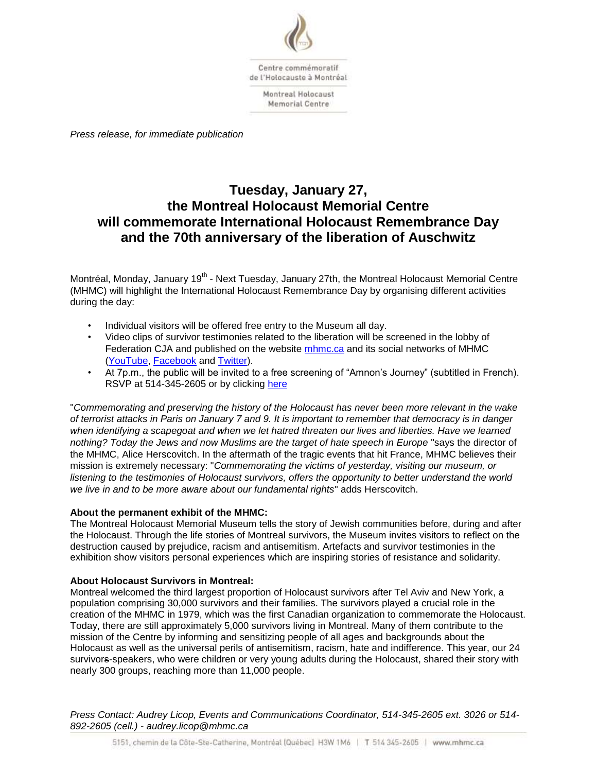

*Press release, for immediate publication*

# **Tuesday, January 27, the Montreal Holocaust Memorial Centre will commemorate International Holocaust Remembrance Day and the 70th anniversary of the liberation of Auschwitz**

Montréal, Monday, January 19<sup>th</sup> - Next Tuesday, January 27th, the Montreal Holocaust Memorial Centre (MHMC) will highlight the International Holocaust Remembrance Day by organising different activities during the day:

- Individual visitors will be offered free entry to the Museum all day.
- Video clips of survivor testimonies related to the liberation will be screened in the lobby of Federation CJA and published on the website [mhmc.ca](http://www.mhmc.ca/en) and its social networks of MHMC [\(YouTube,](https://www.youtube.com/user/MuseeHolocausteMtl) [Facebook](https://www.facebook.com/pages/Mus%C3%A9e-comm%C3%A9moratif-de-lHolocauste-%C3%A0-Montr%C3%A9al/78382729139) and [Twitter\)](https://twitter.com/MuseeHolocauste).
- At 7p.m., the public will be invited to a free screening of "Amnon's Journey" (subtitled in French). RSVP at 514-345-2605 or by clicking [here](http://www.eventbrite.ca/e/amnons-journey-registration-15144923875)

"*Commemorating and preserving the history of the Holocaust has never been more relevant in the wake of terrorist attacks in Paris on January 7 and 9. It is important to remember that democracy is in danger when identifying a scapegoat and when we let hatred threaten our lives and liberties. Have we learned*  nothing? Today the Jews and now Muslims are the target of hate speech in Europe "says the director of the MHMC, Alice Herscovitch. In the aftermath of the tragic events that hit France, MHMC believes their mission is extremely necessary: "*Commemorating the victims of yesterday, visiting our museum, or listening to the testimonies of Holocaust survivors, offers the opportunity to better understand the world we live in and to be more aware about our fundamental rights*" adds Herscovitch.

## **About the permanent exhibit of the MHMC:**

The Montreal Holocaust Memorial Museum tells the story of Jewish communities before, during and after the Holocaust. Through the life stories of Montreal survivors, the Museum invites visitors to reflect on the destruction caused by prejudice, racism and antisemitism. Artefacts and survivor testimonies in the exhibition show visitors personal experiences which are inspiring stories of resistance and solidarity.

## **About Holocaust Survivors in Montreal:**

Montreal welcomed the third largest proportion of Holocaust survivors after Tel Aviv and New York, a population comprising 30,000 survivors and their families. The survivors played a crucial role in the creation of the MHMC in 1979, which was the first Canadian organization to commemorate the Holocaust. Today, there are still approximately 5,000 survivors living in Montreal. Many of them contribute to the mission of the Centre by informing and sensitizing people of all ages and backgrounds about the Holocaust as well as the universal perils of antisemitism, racism, hate and indifference. This year, our 24 survivors-speakers, who were children or very young adults during the Holocaust, shared their story with nearly 300 groups, reaching more than 11,000 people.

*Press Contact: Audrey Licop, Events and Communications Coordinator, 514-345-2605 ext. 3026 or 514- 892-2605 (cell.) - audrey.licop@mhmc.ca*